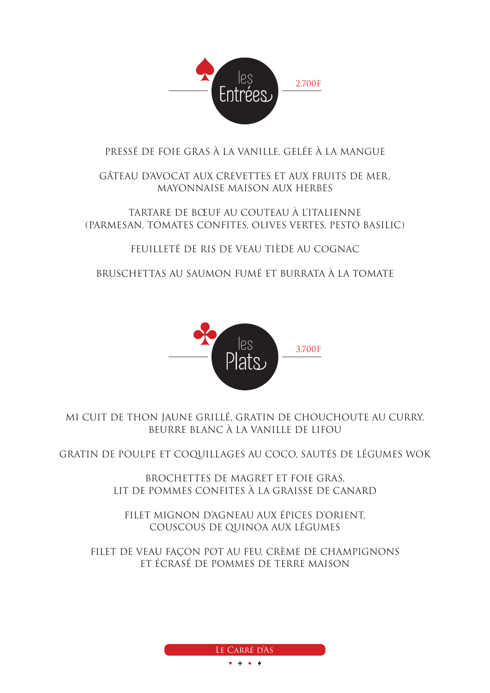

#### PRESSÉ DE FOIE GRAS À LA VANILLE, GELÉE À LA MANGUE

#### GÂTEAU D'AVOCAT AUX CREVETTES ET AUX FRUITS DE MER, MAYONNAISE MAISON AUX HERBES

TARTARE DE BŒUF AU COUTEAU À L'ITALIENNE (PARMESAN, TOMATES CONFITES, OLIVES VERTES, PESTO BASILIC)

FEUILLETÉ DE RIS DE VEAU TIÈDE AU COGNAC

BRUSCHETTAS AU SAUMON FUMÉ ET BURRATA À LA TOMATE



MI CUIT DE THON JAUNE GRILLÉ, GRATIN DE CHOUCHOUTE AU CURRY, BEURRE BLANC À LA VANILLE DE LIFOU

GRATIN DE POULPE ET COQUILLAGES AU COCO, SAUTÉS DE LÉGUMES WOK

BROCHETTES DE MAGRET ET FOIE GRAS, LIT DE POMMES CONFITES À LA GRAISSE DE CANARD

FILET MIGNON D'AGNEAU AUX ÉPICES D'ORIENT, COUSCOUS DE QUINOA AUX LÉGUMES

FILET DE VEAU FAÇON POT AU FEU, CRÈME DE CHAMPIGNONS ET ÉCRASÉ DE POMMES DE TERRE MAISON

Le Carré d'As